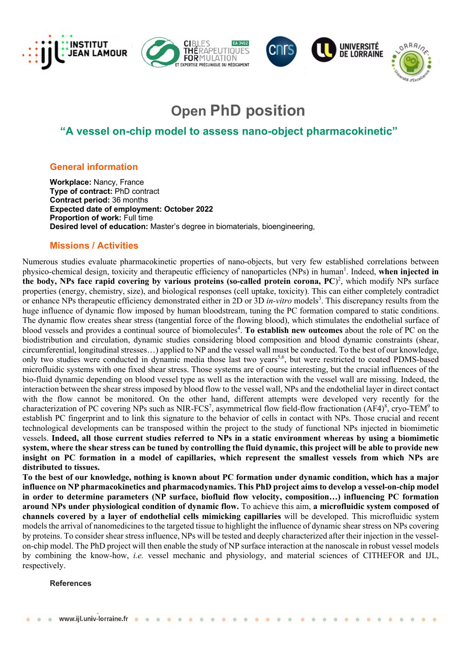



# **Open PhD position**

## **"A vessel on-chip model to assess nano-object pharmacokinetic"**

## **General information**

**Workplace:** Nancy, France **Type of contract:** PhD contract **Contract period:** 36 months **Expected date of employment: October 2022 Proportion of work:** Full time **Desired level of education:** Master's degree in biomaterials, bioengineering,

## **Missions / Activities**

Numerous studies evaluate pharmacokinetic properties of nano-objects, but very few established correlations between physico-chemical design, toxicity and therapeutic efficiency of nanoparticles (NPs) in human<sup>1</sup>. Indeed, when injected in **the body, NPs face rapid covering by various proteins (so-called protein corona, PC**) 2 , which modify NPs surface properties (energy, chemistry, size), and biological responses (cell uptake, toxicity). This can either completely contradict or enhance NPs therapeutic efficiency demonstrated either in 2D or 3D *in-vitro* models<sup>3</sup>. This discrepancy results from the huge influence of dynamic flow imposed by human bloodstream, tuning the PC formation compared to static conditions. The dynamic flow creates shear stress (tangential force of the flowing blood), which stimulates the endothelial surface of blood vessels and provides a continual source of biomolecules<sup>4</sup>. To establish new outcomes about the role of PC on the biodistribution and circulation, dynamic studies considering blood composition and blood dynamic constraints (shear, circumferential, longitudinal stresses…) applied to NP and the vessel wall must be conducted. To the best of our knowledge, only two studies were conducted in dynamic media those last two years<sup>5,6</sup>, but were restricted to coated PDMS-based microfluidic systems with one fixed shear stress. Those systems are of course interesting, but the crucial influences of the bio-fluid dynamic depending on blood vessel type as well as the interaction with the vessel wall are missing. Indeed, the interaction between the shear stress imposed by blood flow to the vessel wall, NPs and the endothelial layer in direct contact with the flow cannot be monitored. On the other hand, different attempts were developed very recently for the characterization of PC covering NPs such as NIR-FCS<sup>7</sup>, asymmetrical flow field-flow fractionation (AF4)<sup>8</sup>, cryo-TEM<sup>9</sup> to establish PC fingerprint and to link this signature to the behavior of cells in contact with NPs. Those crucial and recent technological developments can be transposed within the project to the study of functional NPs injected in biomimetic vessels. **Indeed, all those current studies referred to NPs in a static environment whereas by using a biomimetic system, where the shear stress can be tuned by controlling the fluid dynamic, this project will be able to provide new insight on PC formation in a model of capillaries, which represent the smallest vessels from which NPs are distributed to tissues.**

**To the best of our knowledge, nothing is known about PC formation under dynamic condition, which has a major influence on NP pharmacokinetics and pharmacodynamics. This PhD project aims to develop a vessel-on-chip model in order to determine parameters (NP surface, biofluid flow velocity, composition…) influencing PC formation around NPs under physiological condition of dynamic flow.** To achieve this aim, **a microfluidic system composed of channels covered by a layer of endothelial cells mimicking capillaries** will be developed. This microfluidic system models the arrival of nanomedicines to the targeted tissue to highlight the influence of dynamic shear stress on NPs covering by proteins. To consider shear stress influence, NPs will be tested and deeply characterized after their injection in the vesselon-chip model. The PhD project will then enable the study of NP surface interaction at the nanoscale in robust vessel models by combining the know-how, *i.e.* vessel mechanic and physiology, and material sciences of CITHEFOR and IJL, respectively.

#### **References**